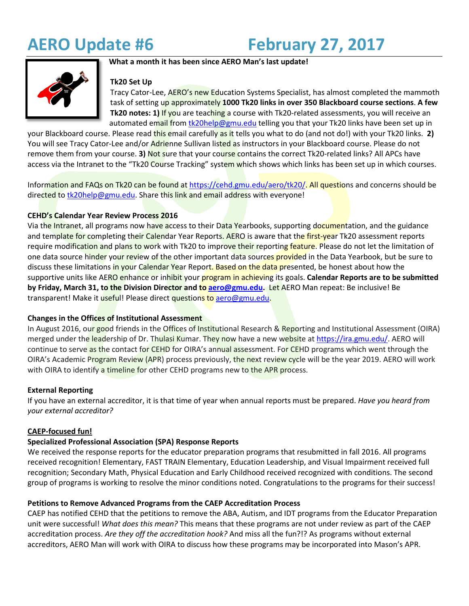**AERO Update #6 February 27, 2017**



## **What a month it has been since AERO Man's last update!**

## **Tk20 Set Up**

Tracy Cator-Lee, AERO's new Education Systems Specialist, has almost completed the mammoth task of setting up approximately **1000 Tk20 links in over 350 Blackboard course sections**. **A few Tk20 notes: 1)** If you are teaching a course with Tk20-related assessments, you will receive an automated email from [tk20help@gmu.edu](mailto:tk20help@gmu.edu) telling you that your Tk20 links have been set up in

your Blackboard course. Please read this email carefully as it tells you what to do (and not do!) with your Tk20 links. **2)** You will see Tracy Cator-Lee and/or Adrienne Sullivan listed as instructors in your Blackboard course. Please do not remove them from your course. **3)** Not sure that your course contains the correct Tk20-related links? All APCs have access via the Intranet to the "Tk20 Course Tracking" system which shows which links has been set up in which courses.

Information and FAQs on Tk20 can be found at [https://cehd.gmu.edu/aero/tk20/.](https://cehd.gmu.edu/aero/tk20/) All questions and concerns should be directed t[o tk20help@gmu.edu.](mailto:tk20help@gmu.edu) Share this link and email address with everyone!

## **CEHD's Calendar Year Review Process 2016**

Via the Intranet, all programs now have access to their Data Yearbooks, supporting documentation, and the guidance and template for completing their Calendar Year Reports. AERO is aware that the first-year Tk20 assessment reports require modification and plans to work with Tk20 to improve their reporting feature. Please do not let the limitation of one data source hinder your review of the other important data sources provided in the Data Yearbook, but be sure to discuss these limitations in your Calendar Year Report. Based on the data presented, be honest about how the supportive units like AERO enhance or inhibit your program in achieving its goals. **Calendar Reports are to be submitted by Friday, March 31, to the Division Director and to [aero@gmu.edu.](mailto:aero@gmu.edu)** Let AERO Man repeat: Be inclusive! Be transparent! Make it useful! Please direct questions to [aero@gmu.edu.](mailto:aero@gmu.edu)

## **Changes in the Offices of Institutional Assessment**

In August 2016, our good friends in the Offices of Institutional Research & Reporting and Institutional Assessment (OIRA) merged under the leadership of Dr. Thulasi Kumar. They now have a new website at [https://ira.gmu.edu/.](https://ira.gmu.edu/) AERO will continue to serve as the contact for CEHD for OIRA's annual assessment. For CEHD programs which went through the OIRA's Academic Program Review (APR) process previously, the next review cycle will be the year 2019. AERO will work with OIRA to identify a timeline for other CEHD programs new to the APR process.

## **External Reporting**

If you have an external accreditor, it is that time of year when annual reports must be prepared. *Have you heard from your external accreditor?* 

## **CAEP-focused fun!**

# **Specialized Professional Association (SPA) Response Reports**

We received the response reports for the educator preparation programs that resubmitted in fall 2016. All programs received recognition! Elementary, FAST TRAIN Elementary, Education Leadership, and Visual Impairment received full recognition; Secondary Math, Physical Education and Early Childhood received recognized with conditions. The second group of programs is working to resolve the minor conditions noted. Congratulations to the programs for their success!

## **Petitions to Remove Advanced Programs from the CAEP Accreditation Process**

CAEP has notified CEHD that the petitions to remove the ABA, Autism, and IDT programs from the Educator Preparation unit were successful! *What does this mean?* This means that these programs are not under review as part of the CAEP accreditation process. *Are they off the accreditation hook?* And miss all the fun?!? As programs without external accreditors, AERO Man will work with OIRA to discuss how these programs may be incorporated into Mason's APR.